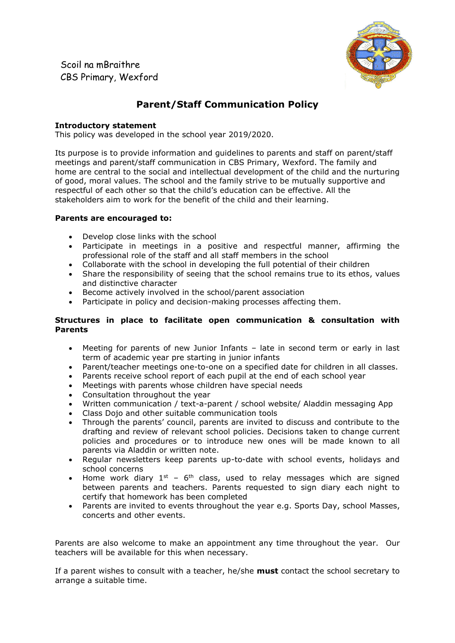**Scoil na mBraithre** Scoil na mBraithreCBS Primary, Wexford



# **Parent/Staff Communication Policy**

# **Introductory statement**

This policy was developed in the school year 2019/2020.

Its purpose is to provide information and quidelines to parents and staff on parent/staff meetings and parent/staff communication in CBS Primary, Wexford. The family and home are central to the social and intellectual development of the child and the nurturing of good, moral values. The school and the family strive to be mutually supportive and respectful of each other so that the child's education can be effective. All the stakeholders aim to work for the benefit of the child and their learning.

## **Parents are encouraged to:**

- Develop close links with the school
- Participate in meetings in a positive and respectful manner, affirming the professional role of the staff and all staff members in the school
- Collaborate with the school in developing the full potential of their children
- Share the responsibility of seeing that the school remains true to its ethos, values and distinctive character
- Become actively involved in the school/parent association
- Participate in policy and decision-making processes affecting them.

# **Structures in place to facilitate open communication & consultation with Parents**

- Meeting for parents of new Junior Infants late in second term or early in last term of academic year pre starting in junior infants
- Parent/teacher meetings one-to-one on a specified date for children in all classes.
- Parents receive school report of each pupil at the end of each school year
- Meetings with parents whose children have special needs
- Consultation throughout the year
- Written communication / text-a-parent / school website/ Aladdin messaging App
- Class Dojo and other suitable communication tools
- Through the parents' council, parents are invited to discuss and contribute to the drafting and review of relevant school policies. Decisions taken to change current policies and procedures or to introduce new ones will be made known to all parents via Aladdin or written note.
- Regular newsletters keep parents up-to-date with school events, holidays and school concerns
- Home work diary  $1<sup>st</sup>$  6<sup>th</sup> class, used to relay messages which are signed between parents and teachers. Parents requested to sign diary each night to certify that homework has been completed
- Parents are invited to events throughout the year e.g. Sports Day, school Masses, concerts and other events.

Parents are also welcome to make an appointment any time throughout the year. Our teachers will be available for this when necessary.

If a parent wishes to consult with a teacher, he/she **must** contact the school secretary to arrange a suitable time.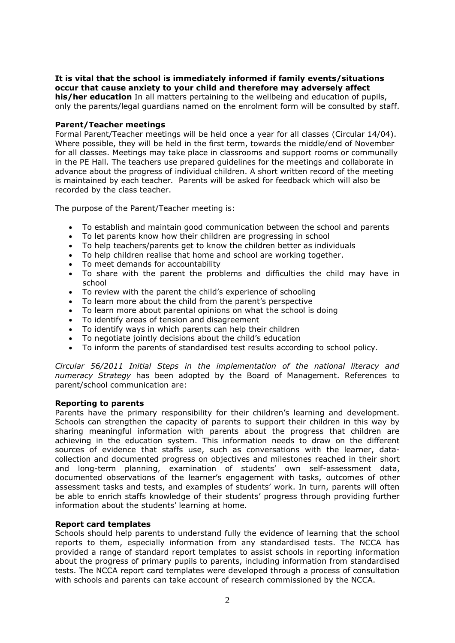#### **It is vital that the school is immediately informed if family events/situations occur that cause anxiety to your child and therefore may adversely affect his/her education** In all matters pertaining to the wellbeing and education of pupils,

only the parents/legal guardians named on the enrolment form will be consulted by staff.

## **Parent/Teacher meetings**

Formal Parent/Teacher meetings will be held once a year for all classes (Circular 14/04). Where possible, they will be held in the first term, towards the middle/end of November for all classes. Meetings may take place in classrooms and support rooms or communally in the PE Hall. The teachers use prepared guidelines for the meetings and collaborate in advance about the progress of individual children. A short written record of the meeting is maintained by each teacher. Parents will be asked for feedback which will also be recorded by the class teacher.

The purpose of the Parent/Teacher meeting is:

- To establish and maintain good communication between the school and parents
- To let parents know how their children are progressing in school
- To help teachers/parents get to know the children better as individuals
- To help children realise that home and school are working together.
- To meet demands for accountability
- To share with the parent the problems and difficulties the child may have in school
- To review with the parent the child's experience of schooling
- To learn more about the child from the parent's perspective
- To learn more about parental opinions on what the school is doing
- To identify areas of tension and disagreement
- To identify ways in which parents can help their children
- To negotiate jointly decisions about the child's education
- To inform the parents of standardised test results according to school policy.

*Circular 56/2011 Initial Steps in the implementation of the national literacy and numeracy Strategy* has been adopted by the Board of Management. References to parent/school communication are:

## **Reporting to parents**

Parents have the primary responsibility for their children's learning and development. Schools can strengthen the capacity of parents to support their children in this way by sharing meaningful information with parents about the progress that children are achieving in the education system. This information needs to draw on the different sources of evidence that staffs use, such as conversations with the learner, datacollection and documented progress on objectives and milestones reached in their short and long-term planning, examination of students' own self-assessment data, documented observations of the learner's engagement with tasks, outcomes of other assessment tasks and tests, and examples of students' work. In turn, parents will often be able to enrich staffs knowledge of their students' progress through providing further information about the students' learning at home.

## **Report card templates**

Schools should help parents to understand fully the evidence of learning that the school reports to them, especially information from any standardised tests. The NCCA has provided a range of standard report templates to assist schools in reporting information about the progress of primary pupils to parents, including information from standardised tests. The NCCA report card templates were developed through a process of consultation with schools and parents can take account of research commissioned by the NCCA.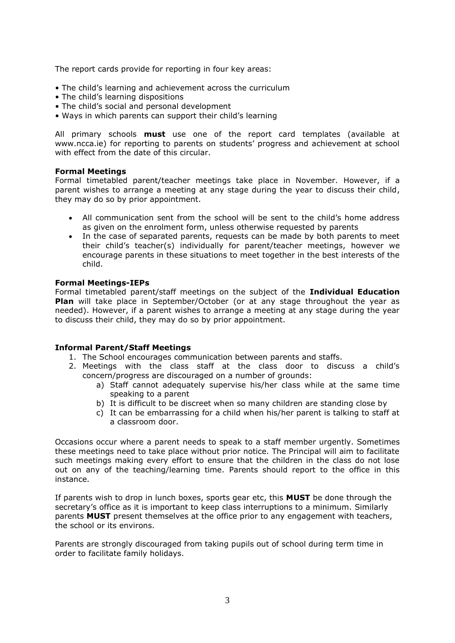The report cards provide for reporting in four key areas:

- The child's learning and achievement across the curriculum
- The child's learning dispositions
- The child's social and personal development
- Ways in which parents can support their child's learning

All primary schools **must** use one of the report card templates (available at www.ncca.ie) for reporting to parents on students' progress and achievement at school with effect from the date of this circular.

## **Formal Meetings**

Formal timetabled parent/teacher meetings take place in November. However, if a parent wishes to arrange a meeting at any stage during the year to discuss their child, they may do so by prior appointment.

- All communication sent from the school will be sent to the child's home address as given on the enrolment form, unless otherwise requested by parents
- In the case of separated parents, requests can be made by both parents to meet their child's teacher(s) individually for parent/teacher meetings, however we encourage parents in these situations to meet together in the best interests of the child.

## **Formal Meetings-IEPs**

Formal timetabled parent/staff meetings on the subject of the **Individual Education Plan** will take place in September/October (or at any stage throughout the year as needed). However, if a parent wishes to arrange a meeting at any stage during the year to discuss their child, they may do so by prior appointment.

## **Informal Parent/Staff Meetings**

- 1. The School encourages communication between parents and staffs.
- 2. Meetings with the class staff at the class door to discuss a child's concern/progress are discouraged on a number of grounds:
	- a) Staff cannot adequately supervise his/her class while at the same time speaking to a parent
	- b) It is difficult to be discreet when so many children are standing close by
	- c) It can be embarrassing for a child when his/her parent is talking to staff at a classroom door.

Occasions occur where a parent needs to speak to a staff member urgently. Sometimes these meetings need to take place without prior notice. The Principal will aim to facilitate such meetings making every effort to ensure that the children in the class do not lose out on any of the teaching/learning time. Parents should report to the office in this instance.

If parents wish to drop in lunch boxes, sports gear etc, this **MUST** be done through the secretary's office as it is important to keep class interruptions to a minimum. Similarly parents **MUST** present themselves at the office prior to any engagement with teachers, the school or its environs.

Parents are strongly discouraged from taking pupils out of school during term time in order to facilitate family holidays.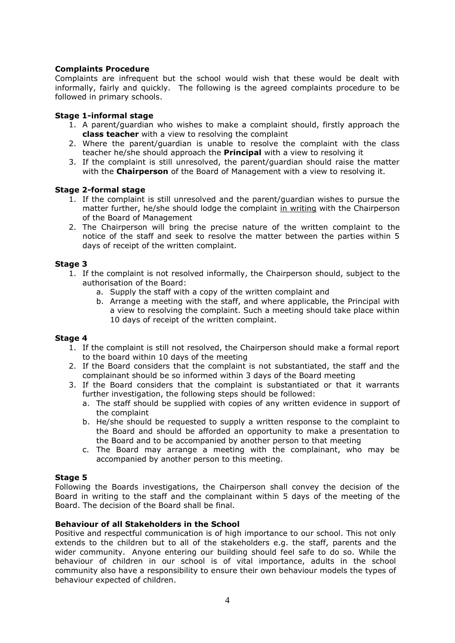# **Complaints Procedure**

Complaints are infrequent but the school would wish that these would be dealt with informally, fairly and quickly. The following is the agreed complaints procedure to be followed in primary schools.

# **Stage 1-informal stage**

- 1. A parent/guardian who wishes to make a complaint should, firstly approach the **class teacher** with a view to resolving the complaint
- 2. Where the parent/guardian is unable to resolve the complaint with the class teacher he/she should approach the **Principal** with a view to resolving it
- 3. If the complaint is still unresolved, the parent/guardian should raise the matter with the **Chairperson** of the Board of Management with a view to resolving it.

## **Stage 2-formal stage**

- 1. If the complaint is still unresolved and the parent/guardian wishes to pursue the matter further, he/she should lodge the complaint in writing with the Chairperson of the Board of Management
- 2. The Chairperson will bring the precise nature of the written complaint to the notice of the staff and seek to resolve the matter between the parties within 5 days of receipt of the written complaint.

## **Stage 3**

- 1. If the complaint is not resolved informally, the Chairperson should, subject to the authorisation of the Board:
	- a. Supply the staff with a copy of the written complaint and
	- b. Arrange a meeting with the staff, and where applicable, the Principal with a view to resolving the complaint. Such a meeting should take place within 10 days of receipt of the written complaint.

## **Stage 4**

- 1. If the complaint is still not resolved, the Chairperson should make a formal report to the board within 10 days of the meeting
- 2. If the Board considers that the complaint is not substantiated, the staff and the complainant should be so informed within 3 days of the Board meeting
- 3. If the Board considers that the complaint is substantiated or that it warrants further investigation, the following steps should be followed:
	- a. The staff should be supplied with copies of any written evidence in support of the complaint
	- b. He/she should be requested to supply a written response to the complaint to the Board and should be afforded an opportunity to make a presentation to the Board and to be accompanied by another person to that meeting
	- c. The Board may arrange a meeting with the complainant, who may be accompanied by another person to this meeting.

## **Stage 5**

Following the Boards investigations, the Chairperson shall convey the decision of the Board in writing to the staff and the complainant within 5 days of the meeting of the Board. The decision of the Board shall be final.

## **Behaviour of all Stakeholders in the School**

Positive and respectful communication is of high importance to our school. This not only extends to the children but to all of the stakeholders e.g. the staff, parents and the wider community. Anyone entering our building should feel safe to do so. While the behaviour of children in our school is of vital importance, adults in the school community also have a responsibility to ensure their own behaviour models the types of behaviour expected of children.